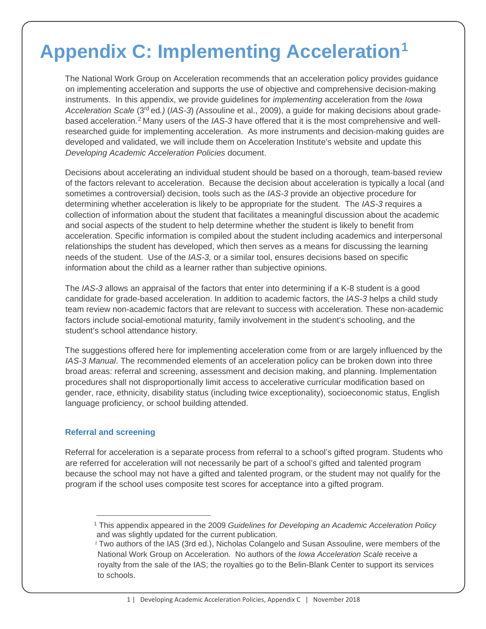# **Appendix C: Implementing Acceleration[1](#page-0-0)**

The National Work Group on Acceleration recommends that an acceleration policy provides guidance on implementing acceleration and supports the use of objective and comprehensive decision-making instruments. In this appendix, we provide guidelines for *implementing* acceleration from the *Iowa Acceleration Scale* (3rd ed*.)* (*IAS-3*) *(*Assouline et al., 2009), a guide for making decisions about gradebased acceleration.[2](#page-0-1) Many users of the *IAS-3* have offered that it is the most comprehensive and wellresearched guide for implementing acceleration. As more instruments and decision-making guides are developed and validated, we will include them on Acceleration Institute's website and update this *Developing Academic Acceleration Policies* document.

Decisions about accelerating an individual student should be based on a thorough, team-based review of the factors relevant to acceleration. Because the decision about acceleration is typically a local (and sometimes a controversial) decision, tools such as the *IAS-3* provide an objective procedure for determining whether acceleration is likely to be appropriate for the student. The *IAS-3* requires a collection of information about the student that facilitates a meaningful discussion about the academic and social aspects of the student to help determine whether the student is likely to benefit from acceleration. Specific information is compiled about the student including academics and interpersonal relationships the student has developed, which then serves as a means for discussing the learning needs of the student. Use of the *IAS-3,* or a similar tool, ensures decisions based on specific information about the child as a learner rather than subjective opinions.

The *IAS-3* allows an appraisal of the factors that enter into determining if a K-8 student is a good candidate for grade-based acceleration. In addition to academic factors, the *IAS-3* helps a child study team review non-academic factors that are relevant to success with acceleration. These non-academic factors include social-emotional maturity, family involvement in the student's schooling, and the student's school attendance history.

The suggestions offered here for implementing acceleration come from or are largely influenced by the *IAS-3 Manual*. The recommended elements of an acceleration policy can be broken down into three broad areas: referral and screening, assessment and decision making, and planning. Implementation procedures shall not disproportionally limit access to accelerative curricular modification based on gender, race, ethnicity, disability status (including twice exceptionality), socioeconomic status, English language proficiency, or school building attended.

## **Referral and screening**

-

Referral for acceleration is a separate process from referral to a school's gifted program. Students who are referred for acceleration will not necessarily be part of a school's gifted and talented program because the school may not have a gifted and talented program, or the student may not qualify for the program if the school uses composite test scores for acceptance into a gifted program.

<span id="page-0-0"></span><sup>1</sup> This appendix appeared in the 2009 *Guidelines for Developing an Academic Acceleration Policy* and was slightly updated for the current publication.

<span id="page-0-1"></span><sup>&</sup>lt;sup>2</sup> Two authors of the IAS (3rd ed.), Nicholas Colangelo and Susan Assouline, were members of the National Work Group on Acceleration. No authors of the *Iowa Acceleration Scale* receive a royalty from the sale of the IAS; the royalties go to the Belin-Blank Center to support its services to schools.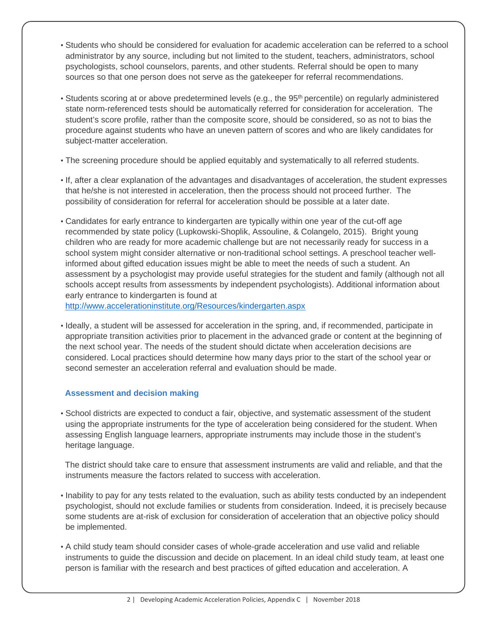- Students who should be considered for evaluation for academic acceleration can be referred to a school administrator by any source, including but not limited to the student, teachers, administrators, school psychologists, school counselors, parents, and other students. Referral should be open to many sources so that one person does not serve as the gatekeeper for referral recommendations.
- Students scoring at or above predetermined levels (e.g., the 95<sup>th</sup> percentile) on regularly administered state norm-referenced tests should be automatically referred for consideration for acceleration. The student's score profile, rather than the composite score, should be considered, so as not to bias the procedure against students who have an uneven pattern of scores and who are likely candidates for subject-matter acceleration.
- The screening procedure should be applied equitably and systematically to all referred students.
- If, after a clear explanation of the advantages and disadvantages of acceleration, the student expresses that he/she is not interested in acceleration, then the process should not proceed further. The possibility of consideration for referral for acceleration should be possible at a later date.
- Candidates for early entrance to kindergarten are typically within one year of the cut-off age recommended by state policy (Lupkowski-Shoplik, Assouline, & Colangelo, 2015). Bright young children who are ready for more academic challenge but are not necessarily ready for success in a school system might consider alternative or non-traditional school settings. A preschool teacher wellinformed about gifted education issues might be able to meet the needs of such a student. An assessment by a psychologist may provide useful strategies for the student and family (although not all schools accept results from assessments by independent psychologists). Additional information about early entrance to kindergarten is found at <http://www.accelerationinstitute.org/Resources/kindergarten.aspx>
- Ideally, a student will be assessed for acceleration in the spring, and, if recommended, participate in appropriate transition activities prior to placement in the advanced grade or content at the beginning of the next school year. The needs of the student should dictate when acceleration decisions are considered. Local practices should determine how many days prior to the start of the school year or second semester an acceleration referral and evaluation should be made.

# **Assessment and decision making**

• School districts are expected to conduct a fair, objective, and systematic assessment of the student using the appropriate instruments for the type of acceleration being considered for the student. When assessing English language learners, appropriate instruments may include those in the student's heritage language.

The district should take care to ensure that assessment instruments are valid and reliable, and that the instruments measure the factors related to success with acceleration.

- Inability to pay for any tests related to the evaluation, such as ability tests conducted by an independent psychologist, should not exclude families or students from consideration. Indeed, it is precisely because some students are at-risk of exclusion for consideration of acceleration that an objective policy should be implemented.
- A child study team should consider cases of whole-grade acceleration and use valid and reliable instruments to guide the discussion and decide on placement. In an ideal child study team, at least one person is familiar with the research and best practices of gifted education and acceleration. A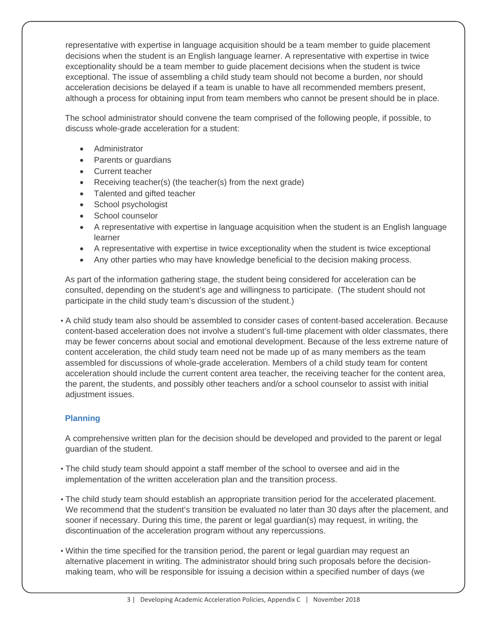representative with expertise in language acquisition should be a team member to guide placement decisions when the student is an English language learner. A representative with expertise in twice exceptionality should be a team member to guide placement decisions when the student is twice exceptional. The issue of assembling a child study team should not become a burden, nor should acceleration decisions be delayed if a team is unable to have all recommended members present, although a process for obtaining input from team members who cannot be present should be in place.

The school administrator should convene the team comprised of the following people, if possible, to discuss whole-grade acceleration for a student:

- Administrator
- Parents or guardians
- Current teacher
- Receiving teacher(s) (the teacher(s) from the next grade)
- Talented and gifted teacher
- School psychologist
- School counselor
- A representative with expertise in language acquisition when the student is an English language learner
- A representative with expertise in twice exceptionality when the student is twice exceptional
- Any other parties who may have knowledge beneficial to the decision making process.

As part of the information gathering stage, the student being considered for acceleration can be consulted, depending on the student's age and willingness to participate. (The student should not participate in the child study team's discussion of the student.)

• A child study team also should be assembled to consider cases of content-based acceleration. Because content-based acceleration does not involve a student's full-time placement with older classmates, there may be fewer concerns about social and emotional development. Because of the less extreme nature of content acceleration, the child study team need not be made up of as many members as the team assembled for discussions of whole-grade acceleration. Members of a child study team for content acceleration should include the current content area teacher, the receiving teacher for the content area, the parent, the students, and possibly other teachers and/or a school counselor to assist with initial adjustment issues.

## **Planning**

A comprehensive written plan for the decision should be developed and provided to the parent or legal guardian of the student.

- The child study team should appoint a staff member of the school to oversee and aid in the implementation of the written acceleration plan and the transition process.
- The child study team should establish an appropriate transition period for the accelerated placement. We recommend that the student's transition be evaluated no later than 30 days after the placement, and sooner if necessary. During this time, the parent or legal guardian(s) may request, in writing, the discontinuation of the acceleration program without any repercussions.
- Within the time specified for the transition period, the parent or legal guardian may request an alternative placement in writing. The administrator should bring such proposals before the decisionmaking team, who will be responsible for issuing a decision within a specified number of days (we